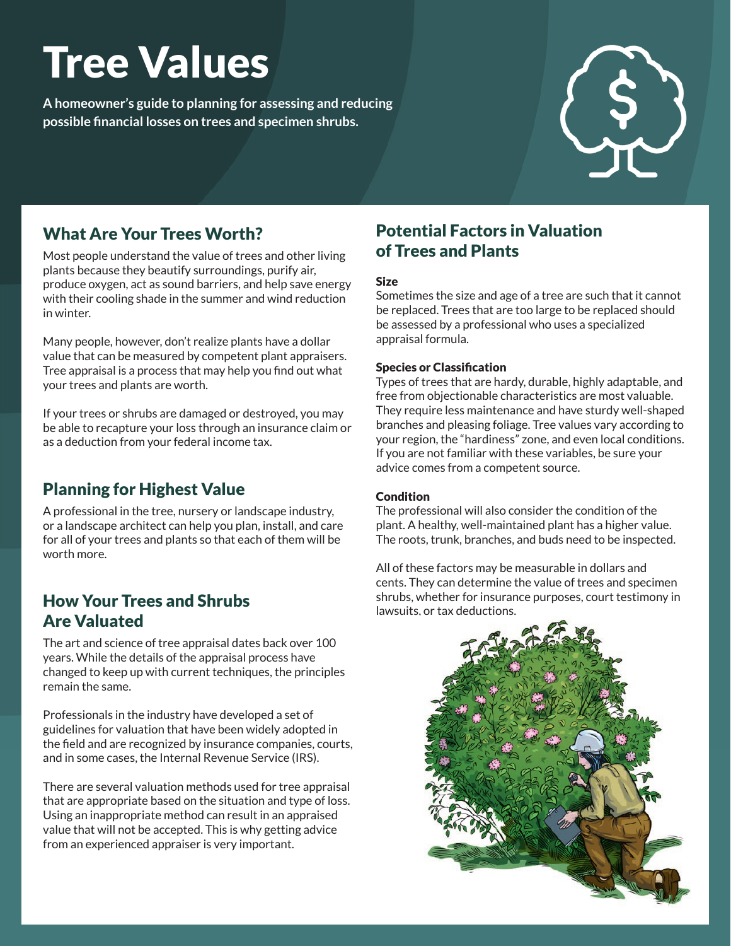# Tree Values

**A homeowner's guide to planning for assessing and reducing possible financial losses on trees and specimen shrubs.**



## What Are Your Trees Worth?

Most people understand the value of trees and other living plants because they beautify surroundings, purify air, produce oxygen, act as sound barriers, and help save energy with their cooling shade in the summer and wind reduction in winter.

Many people, however, don't realize plants have a dollar value that can be measured by competent plant appraisers. Tree appraisal is a process that may help you find out what your trees and plants are worth.

If your trees or shrubs are damaged or destroyed, you may be able to recapture your loss through an insurance claim or as a deduction from your federal income tax.

# Planning for Highest Value

A professional in the tree, nursery or landscape industry, or a landscape architect can help you plan, install, and care for all of your trees and plants so that each of them will be worth more.

## How Your Trees and Shrubs Are Valuated

The art and science of tree appraisal dates back over 100 years. While the details of the appraisal process have changed to keep up with current techniques, the principles remain the same.

Professionals in the industry have developed a set of guidelines for valuation that have been widely adopted in the field and are recognized by insurance companies, courts, and in some cases, the Internal Revenue Service (IRS).

There are several valuation methods used for tree appraisal that are appropriate based on the situation and type of loss. Using an inappropriate method can result in an appraised value that will not be accepted. This is why getting advice from an experienced appraiser is very important.

## Potential Factors in Valuation of Trees and Plants

#### Size

Sometimes the size and age of a tree are such that it cannot be replaced. Trees that are too large to be replaced should be assessed by a professional who uses a specialized appraisal formula.

#### Species or Classification

Types of trees that are hardy, durable, highly adaptable, and free from objectionable characteristics are most valuable. They require less maintenance and have sturdy well-shaped branches and pleasing foliage. Tree values vary according to your region, the "hardiness" zone, and even local conditions. If you are not familiar with these variables, be sure your advice comes from a competent source.

#### **Condition**

The professional will also consider the condition of the plant. A healthy, well-maintained plant has a higher value. The roots, trunk, branches, and buds need to be inspected.

All of these factors may be measurable in dollars and cents. They can determine the value of trees and specimen shrubs, whether for insurance purposes, court testimony in lawsuits, or tax deductions.